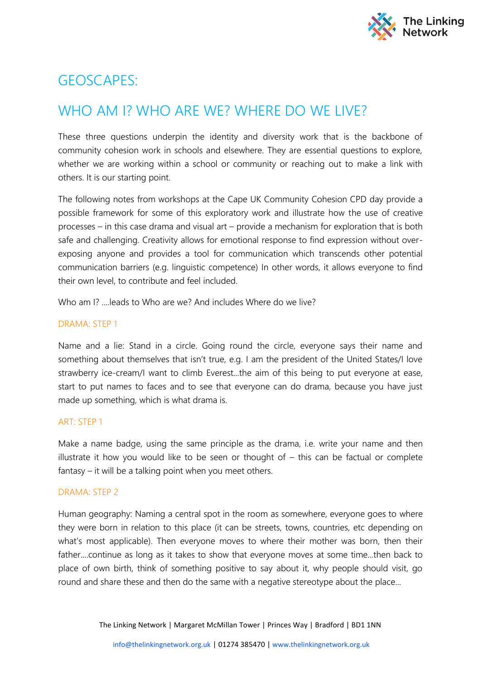

# GEOSCAPES:

## WHO AM I? WHO ARE WE? WHERE DO WE LIVE?

These three questions underpin the identity and diversity work that is the backbone of community cohesion work in schools and elsewhere. They are essential questions to explore, whether we are working within a school or community or reaching out to make a link with others. It is our starting point.

The following notes from workshops at the Cape UK Community Cohesion CPD day provide a possible framework for some of this exploratory work and illustrate how the use of creative processes – in this case drama and visual art – provide a mechanism for exploration that is both safe and challenging. Creativity allows for emotional response to find expression without overexposing anyone and provides a tool for communication which transcends other potential communication barriers (e.g. linguistic competence) In other words, it allows everyone to find their own level, to contribute and feel included.

Who am I? ....leads to Who are we? And includes Where do we live?

### DRAMA: STEP 1

Name and a lie: Stand in a circle. Going round the circle, everyone says their name and something about themselves that isn't true, e.g. I am the president of the United States/I love strawberry ice-cream/I want to climb Everest...the aim of this being to put everyone at ease, start to put names to faces and to see that everyone can do drama, because you have just made up something, which is what drama is.

#### ART: STEP 1

Make a name badge, using the same principle as the drama, i.e. write your name and then illustrate it how you would like to be seen or thought of – this can be factual or complete fantasy – it will be a talking point when you meet others.

#### DRAMA: STEP 2

Human geography: Naming a central spot in the room as somewhere, everyone goes to where they were born in relation to this place (it can be streets, towns, countries, etc depending on what's most applicable). Then everyone moves to where their mother was born, then their father....continue as long as it takes to show that everyone moves at some time...then back to place of own birth, think of something positive to say about it, why people should visit, go round and share these and then do the same with a negative stereotype about the place...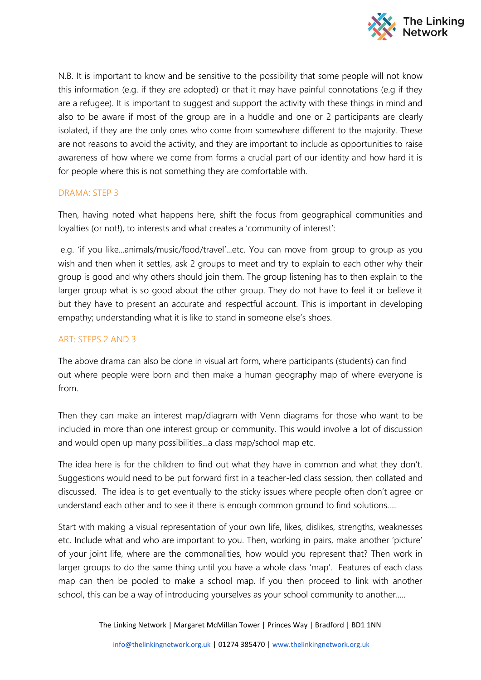

N.B. It is important to know and be sensitive to the possibility that some people will not know this information (e.g. if they are adopted) or that it may have painful connotations (e.g if they are a refugee). It is important to suggest and support the activity with these things in mind and also to be aware if most of the group are in a huddle and one or 2 participants are clearly isolated, if they are the only ones who come from somewhere different to the majority. These are not reasons to avoid the activity, and they are important to include as opportunities to raise awareness of how where we come from forms a crucial part of our identity and how hard it is for people where this is not something they are comfortable with.

## DRAMA: STEP 3

Then, having noted what happens here, shift the focus from geographical communities and loyalties (or not!), to interests and what creates a 'community of interest':

e.g. 'if you like...animals/music/food/travel'...etc. You can move from group to group as you wish and then when it settles, ask 2 groups to meet and try to explain to each other why their group is good and why others should join them. The group listening has to then explain to the larger group what is so good about the other group. They do not have to feel it or believe it but they have to present an accurate and respectful account. This is important in developing empathy; understanding what it is like to stand in someone else's shoes.

## ART: STEPS 2 AND 3

The above drama can also be done in visual art form, where participants (students) can find out where people were born and then make a human geography map of where everyone is from.

Then they can make an interest map/diagram with Venn diagrams for those who want to be included in more than one interest group or community. This would involve a lot of discussion and would open up many possibilities...a class map/school map etc.

The idea here is for the children to find out what they have in common and what they don't. Suggestions would need to be put forward first in a teacher-led class session, then collated and discussed. The idea is to get eventually to the sticky issues where people often don't agree or understand each other and to see it there is enough common ground to find solutions.....

Start with making a visual representation of your own life, likes, dislikes, strengths, weaknesses etc. Include what and who are important to you. Then, working in pairs, make another 'picture' of your joint life, where are the commonalities, how would you represent that? Then work in larger groups to do the same thing until you have a whole class 'map'. Features of each class map can then be pooled to make a school map. If you then proceed to link with another school, this can be a way of introducing yourselves as your school community to another.....

The Linking Network | Margaret McMillan Tower | Princes Way | Bradford | BD1 1NN